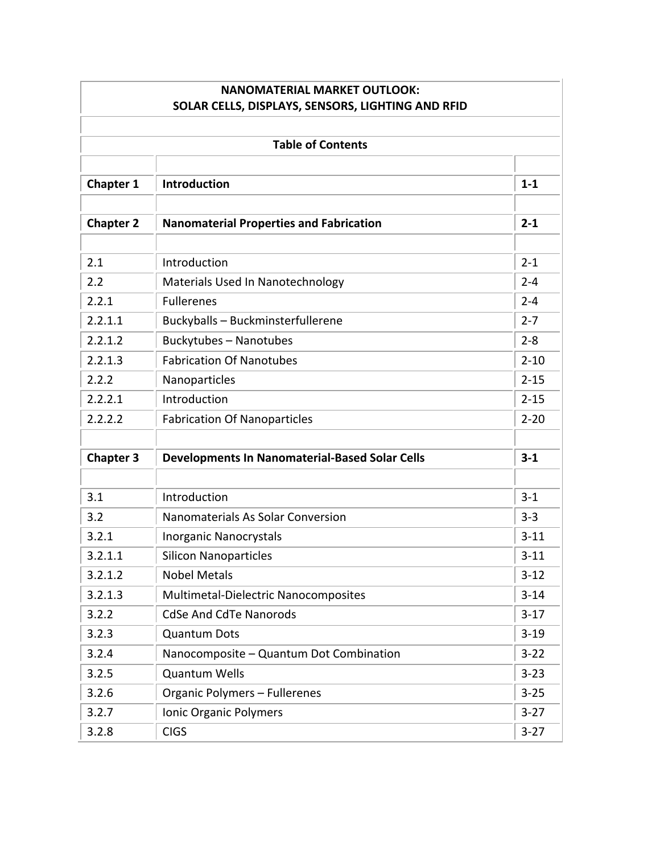| <b>NANOMATERIAL MARKET OUTLOOK:</b><br>SOLAR CELLS, DISPLAYS, SENSORS, LIGHTING AND RFID |                                                       |          |  |  |
|------------------------------------------------------------------------------------------|-------------------------------------------------------|----------|--|--|
|                                                                                          |                                                       |          |  |  |
|                                                                                          | <b>Table of Contents</b>                              |          |  |  |
| <b>Chapter 1</b>                                                                         | Introduction                                          | $1 - 1$  |  |  |
| <b>Chapter 2</b>                                                                         | <b>Nanomaterial Properties and Fabrication</b>        | $2 - 1$  |  |  |
| 2.1                                                                                      | Introduction                                          | $2 - 1$  |  |  |
| 2.2                                                                                      | Materials Used In Nanotechnology                      | $2 - 4$  |  |  |
| 2.2.1                                                                                    | <b>Fullerenes</b>                                     | $2 - 4$  |  |  |
| 2.2.1.1                                                                                  | Buckyballs - Buckminsterfullerene                     | $2 - 7$  |  |  |
| 2.2.1.2                                                                                  | <b>Buckytubes - Nanotubes</b>                         | $2 - 8$  |  |  |
| 2.2.1.3                                                                                  | <b>Fabrication Of Nanotubes</b>                       | $2 - 10$ |  |  |
| 2.2.2                                                                                    | Nanoparticles                                         | $2 - 15$ |  |  |
| 2.2.2.1                                                                                  | Introduction                                          | $2 - 15$ |  |  |
| 2.2.2.2                                                                                  | <b>Fabrication Of Nanoparticles</b>                   | $2 - 20$ |  |  |
| <b>Chapter 3</b>                                                                         | <b>Developments In Nanomaterial-Based Solar Cells</b> | $3 - 1$  |  |  |
|                                                                                          |                                                       |          |  |  |
| 3.1                                                                                      | Introduction                                          | $3-1$    |  |  |
| 3.2                                                                                      | Nanomaterials As Solar Conversion                     | $3 - 3$  |  |  |
| 3.2.1                                                                                    | <b>Inorganic Nanocrystals</b>                         | $3 - 11$ |  |  |
| 3.2.1.1                                                                                  | <b>Silicon Nanoparticles</b>                          | $3 - 11$ |  |  |
| 3.2.1.2                                                                                  | <b>Nobel Metals</b>                                   | $3 - 12$ |  |  |
| 3.2.1.3                                                                                  | Multimetal-Dielectric Nanocomposites                  | $3 - 14$ |  |  |
| 3.2.2                                                                                    | <b>CdSe And CdTe Nanorods</b>                         | $3-17$   |  |  |
| 3.2.3                                                                                    | <b>Quantum Dots</b>                                   | $3 - 19$ |  |  |
| 3.2.4                                                                                    | Nanocomposite - Quantum Dot Combination               | $3 - 22$ |  |  |
| 3.2.5                                                                                    | <b>Quantum Wells</b>                                  | $3 - 23$ |  |  |
| 3.2.6                                                                                    | Organic Polymers - Fullerenes                         | $3 - 25$ |  |  |
| 3.2.7                                                                                    | Ionic Organic Polymers                                | $3 - 27$ |  |  |
| 3.2.8                                                                                    | <b>CIGS</b>                                           | $3-27$   |  |  |

÷i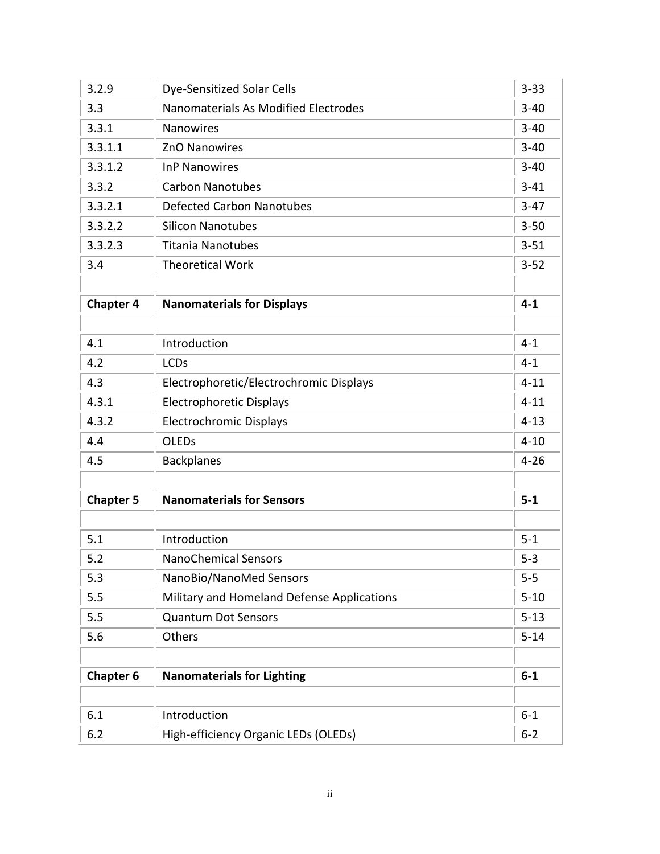| 3.2.9            | <b>Dye-Sensitized Solar Cells</b>          | $3 - 33$ |
|------------------|--------------------------------------------|----------|
| 3.3              | Nanomaterials As Modified Electrodes       | $3 - 40$ |
| 3.3.1            | <b>Nanowires</b>                           | $3 - 40$ |
| 3.3.1.1          | <b>ZnO Nanowires</b>                       | $3 - 40$ |
| 3.3.1.2          | <b>InP Nanowires</b>                       | $3 - 40$ |
| 3.3.2            | <b>Carbon Nanotubes</b>                    | $3 - 41$ |
| 3.3.2.1          | <b>Defected Carbon Nanotubes</b>           | $3-47$   |
| 3.3.2.2          | <b>Silicon Nanotubes</b>                   | $3 - 50$ |
| 3.3.2.3          | <b>Titania Nanotubes</b>                   | $3 - 51$ |
| 3.4              | <b>Theoretical Work</b>                    | $3 - 52$ |
|                  |                                            |          |
| <b>Chapter 4</b> | <b>Nanomaterials for Displays</b>          | $4 - 1$  |
|                  |                                            |          |
| 4.1              | Introduction                               | $4 - 1$  |
| 4.2              | <b>LCDs</b>                                | $4 - 1$  |
| 4.3              | Electrophoretic/Electrochromic Displays    | $4 - 11$ |
| 4.3.1            | <b>Electrophoretic Displays</b>            | $4 - 11$ |
| 4.3.2            | <b>Electrochromic Displays</b>             | $4 - 13$ |
| 4.4              | <b>OLEDs</b>                               | $4 - 10$ |
| 4.5              | <b>Backplanes</b>                          | $4 - 26$ |
|                  |                                            |          |
| <b>Chapter 5</b> | <b>Nanomaterials for Sensors</b>           | $5-1$    |
|                  |                                            |          |
| 5.1              | Introduction                               | $5 - 1$  |
| 5.2              | <b>NanoChemical Sensors</b>                | $5 - 3$  |
| 5.3              | NanoBio/NanoMed Sensors                    | $5 - 5$  |
| 5.5              | Military and Homeland Defense Applications | $5 - 10$ |
| 5.5              | <b>Quantum Dot Sensors</b>                 | $5 - 13$ |
| 5.6              | Others                                     | $5 - 14$ |
|                  |                                            |          |
| <b>Chapter 6</b> | <b>Nanomaterials for Lighting</b>          | $6-1$    |
|                  |                                            |          |
| 6.1              | Introduction                               | $6 - 1$  |
| 6.2              | High-efficiency Organic LEDs (OLEDs)       | $6 - 2$  |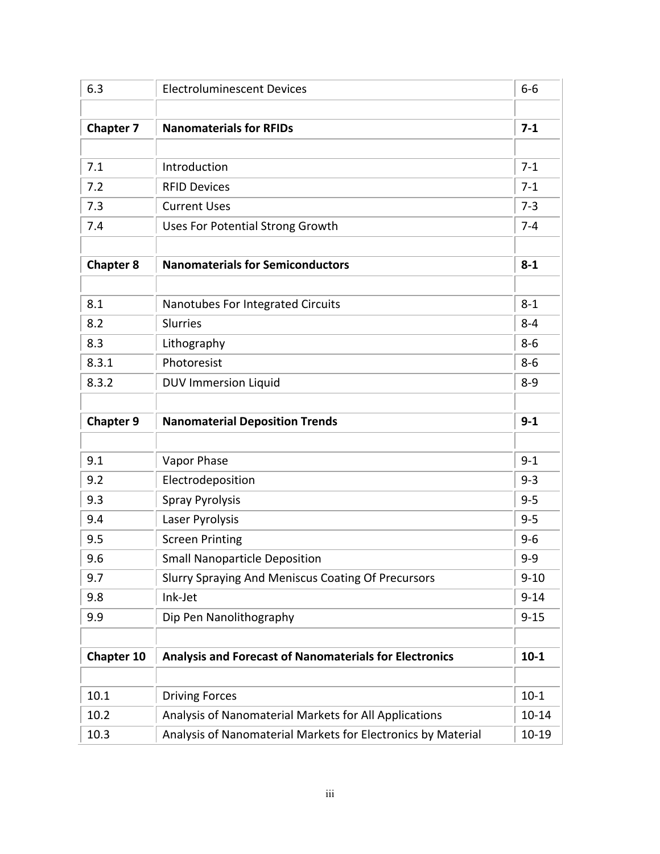| 6.3               | <b>Electroluminescent Devices</b>                             | $6-6$     |
|-------------------|---------------------------------------------------------------|-----------|
|                   |                                                               |           |
| <b>Chapter 7</b>  | <b>Nanomaterials for RFIDs</b>                                | $7 - 1$   |
|                   |                                                               |           |
| 7.1               | Introduction                                                  | $7-1$     |
| 7.2               | <b>RFID Devices</b>                                           | $7 - 1$   |
| 7.3               | <b>Current Uses</b>                                           | $7 - 3$   |
| 7.4               | <b>Uses For Potential Strong Growth</b>                       | $7 - 4$   |
| <b>Chapter 8</b>  | <b>Nanomaterials for Semiconductors</b>                       | $8 - 1$   |
| 8.1               | Nanotubes For Integrated Circuits                             | $8 - 1$   |
| 8.2               | Slurries                                                      | $8 - 4$   |
| 8.3               | Lithography                                                   | $8 - 6$   |
| 8.3.1             | Photoresist                                                   | $8 - 6$   |
| 8.3.2             | <b>DUV Immersion Liquid</b>                                   | $8 - 9$   |
| <b>Chapter 9</b>  | <b>Nanomaterial Deposition Trends</b>                         | $9 - 1$   |
|                   |                                                               |           |
| 9.1               | Vapor Phase                                                   | $9 - 1$   |
| 9.2               | Electrodeposition                                             | $9 - 3$   |
| 9.3               | <b>Spray Pyrolysis</b>                                        | $9 - 5$   |
| 9.4               | Laser Pyrolysis                                               | $9 - 5$   |
| 9.5               | <b>Screen Printing</b>                                        | $9 - 6$   |
| 9.6               | <b>Small Nanoparticle Deposition</b>                          | $9 - 9$   |
| 9.7               | <b>Slurry Spraying And Meniscus Coating Of Precursors</b>     | $9 - 10$  |
| 9.8               | Ink-Jet                                                       | $9 - 14$  |
| 9.9               | Dip Pen Nanolithography                                       | $9 - 15$  |
| <b>Chapter 10</b> | <b>Analysis and Forecast of Nanomaterials for Electronics</b> | $10 - 1$  |
| 10.1              | <b>Driving Forces</b>                                         | $10 - 1$  |
| 10.2              | Analysis of Nanomaterial Markets for All Applications         | $10 - 14$ |
| 10.3              | Analysis of Nanomaterial Markets for Electronics by Material  | 10-19     |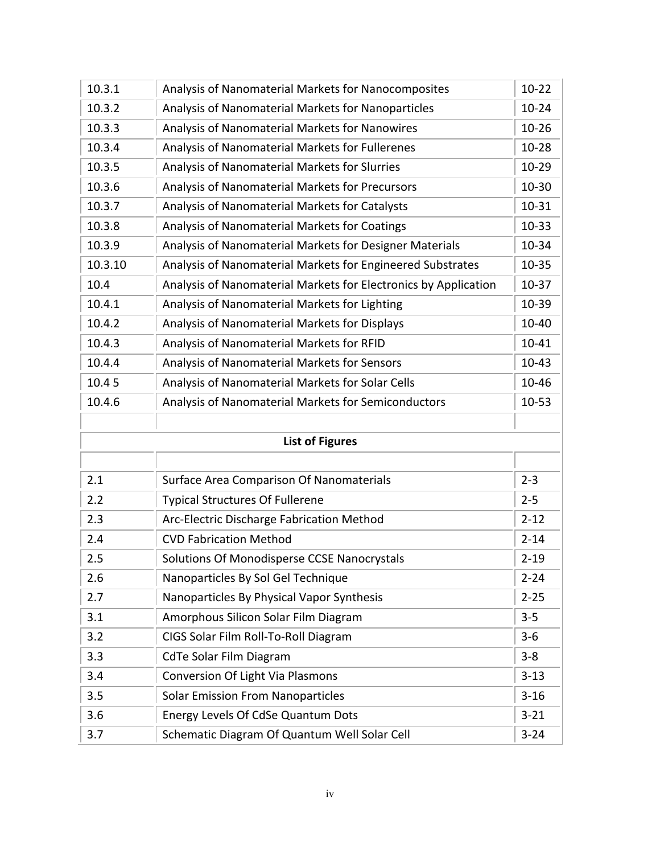| 10.3.1  | Analysis of Nanomaterial Markets for Nanocomposites             | $10 - 22$ |
|---------|-----------------------------------------------------------------|-----------|
| 10.3.2  | Analysis of Nanomaterial Markets for Nanoparticles              | $10 - 24$ |
| 10.3.3  | Analysis of Nanomaterial Markets for Nanowires                  | $10 - 26$ |
| 10.3.4  | Analysis of Nanomaterial Markets for Fullerenes                 | $10 - 28$ |
| 10.3.5  | Analysis of Nanomaterial Markets for Slurries                   | $10 - 29$ |
| 10.3.6  | Analysis of Nanomaterial Markets for Precursors                 | 10-30     |
| 10.3.7  | Analysis of Nanomaterial Markets for Catalysts                  | 10-31     |
| 10.3.8  | Analysis of Nanomaterial Markets for Coatings                   | 10-33     |
| 10.3.9  | Analysis of Nanomaterial Markets for Designer Materials         | 10-34     |
| 10.3.10 | Analysis of Nanomaterial Markets for Engineered Substrates      | 10-35     |
| 10.4    | Analysis of Nanomaterial Markets for Electronics by Application | 10-37     |
| 10.4.1  | Analysis of Nanomaterial Markets for Lighting                   | 10-39     |
| 10.4.2  | Analysis of Nanomaterial Markets for Displays                   | 10-40     |
| 10.4.3  | Analysis of Nanomaterial Markets for RFID                       | 10-41     |
| 10.4.4  | Analysis of Nanomaterial Markets for Sensors                    | $10 - 43$ |
| 10.45   | Analysis of Nanomaterial Markets for Solar Cells                | 10-46     |
| 10.4.6  | Analysis of Nanomaterial Markets for Semiconductors             | 10-53     |
|         |                                                                 |           |
|         | <b>List of Figures</b>                                          |           |
|         |                                                                 |           |
| 2.1     | Surface Area Comparison Of Nanomaterials                        | $2 - 3$   |
| 2.2     | <b>Typical Structures Of Fullerene</b>                          | $2 - 5$   |
| 2.3     | Arc-Electric Discharge Fabrication Method                       | $2 - 12$  |
| 2.4     | <b>CVD Fabrication Method</b>                                   | $2 - 14$  |
| 2.5     | Solutions Of Monodisperse CCSE Nanocrystals                     | $2 - 19$  |
| 2.6     | Nanoparticles By Sol Gel Technique                              | $2 - 24$  |
| 2.7     | Nanoparticles By Physical Vapor Synthesis                       | $2 - 25$  |
| 3.1     | Amorphous Silicon Solar Film Diagram                            | $3 - 5$   |
| 3.2     | CIGS Solar Film Roll-To-Roll Diagram                            | $3 - 6$   |
| 3.3     | <b>CdTe Solar Film Diagram</b>                                  | $3 - 8$   |
| 3.4     | <b>Conversion Of Light Via Plasmons</b>                         | $3 - 13$  |
| 3.5     | <b>Solar Emission From Nanoparticles</b>                        | $3 - 16$  |
| 3.6     | Energy Levels Of CdSe Quantum Dots                              | $3 - 21$  |
| 3.7     | Schematic Diagram Of Quantum Well Solar Cell                    | $3 - 24$  |